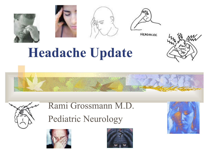







HEADACHE

# **Headache Update**





Rami Grossmann M.D. Pediatric Neurology



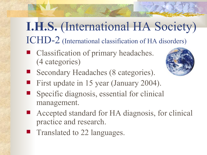### **I.H.S.** (International HA Society) ICHD-2 (International classification of HA disorders)

■ Classification of primary headaches. (4 categories[\)](http://images.google.com/imgres?imgurl=http://www.rain.org/campinternet/astronomy/img/earth2.jpg&imgrefurl=http://www.rain.org/campinternet/astronomy/earth2.html&h=480&w=515&sz=59&tbnid=X-HjSraC7ZsJ:&tbnh=119&tbnw=127&start=123&prev=/images%3Fq%3Dplanet%2Bearth%26start%3D120%26hl%3Den%26lr%3D%26sa%3DN)



- Secondary Headaches (8 categories).
- First update in 15 year (January 2004).
- Specific diagnosis, essential for clinical management.
- Accepted standard for HA diagnosis, for clinical practice and research.
- Translated to 22 languages.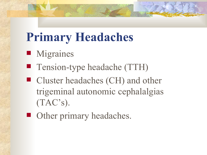# **Primary Headaches**

- **Migraines**
- Tension-type headache (TTH)
- Cluster headaches (CH) and other trigeminal autonomic cephalalgias (TAC's).
- Other primary headaches.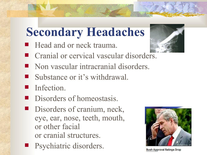### **Secondary Headaches**

- **Head and or neck trauma.**
- Cranial or cervical vascular disorde[rs.](http://images.google.com/imgres?imgurl=http://www.med.wayne.edu/diagRadiology/Bowie03.jpg&imgrefurl=http://www.med.wayne.edu/diagRadiology/IntCase1.html&h=499&w=599&sz=99&tbnid=FgdYy6PMlSAJ:&tbnh=110&tbnw=132&start=578&prev=/images%3Fq%3Dheadache%26start%3D560%26hl%3Den%26lr%3D%26sa%3DN)
- Non vascular intracranial disorders.
- Substance or it's withdrawal.
- Infection.
- Disorders of homeostasis.
- Disorders of cranium, neck, eye, ear, nose, teeth, mouth, or other facial or cranial structures.
- Psychiatric disorders.





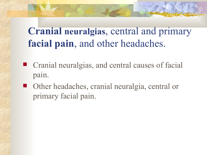#### **Cranial neuralgias**, central and primary **facial pain**, and other headaches.

- Cranial neuralgias, and central causes of facial pain.
- Other headaches, cranial neuralgia, central or primary facial pain.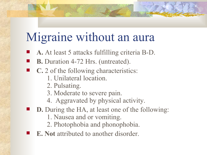### Migraine without an aura

- **A.** At least 5 attacks fulfilling criteria B-D.
- **B.** Duration 4-72 Hrs. (untreated).
- **C.** 2 of the following characteristics:
	- 1. Unilateral location.
	- 2. Pulsating.
	- 3. Moderate to severe pain.
	- 4. Aggravated by physical activity.
- **D.** During the HA, at least one of the following:
	- 1. Nausea and or vomiting.
	- 2. Photophobia and phonophobia.
- **E. Not** attributed to another disorder.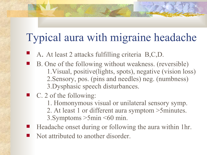#### Typical aura with migraine headache

- A. At least 2 attacks fulfilling criteria B,C,D.
- B. One of the following without weakness. (reversible) 1.Visual, positive(lights, spots), negative (vision loss) 2.Sensory, pos. (pins and needles) neg. (numbness) 3.Dysphasic speech disturbances.
- $\blacksquare$  C. 2 of the following:
	- 1. Homonymous visual or unilateral sensory symp.
	- 2. At least 1 or different aura symptom >5minutes.
	- 3.Symptoms >5min <60 min.
- Headache onset during or following the aura within 1hr.
- Not attributed to another disorder.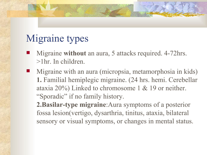#### Migraine types

- Migraine **without** an aura, 5 attacks required. 4-72hrs. >1hr. In children.
- Migraine with an aura (micropsia, metamorphosia in kids) **1.** Familial hemiplegic migraine. (24 hrs. hemi. Cerebellar ataxia 20%) Linked to chromosome 1 & 19 or neither. "Sporadic" if no family history.

**2.Basilar-type migraine**:Aura symptoms of a posterior fossa lesion(vertigo, dysarthria, tinitus, ataxia, bilateral sensory or visual symptoms, or changes in mental status.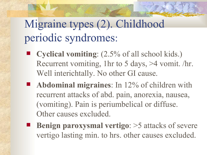#### Migraine types (2). Childhood periodic syndromes:

- **Cyclical vomiting**: (2.5% of all school kids.) Recurrent vomiting, 1hr to 5 days, >4 vomit. /hr. Well interichtally. No other GI cause.
- **Abdominal migraines**: In 12% of children with recurrent attacks of abd. pain, anorexia, nausea, (vomiting). Pain is periumbelical or diffuse. Other causes excluded.
- **Benign paroxysmal vertigo**: >5 attacks of severe vertigo lasting min. to hrs. other causes excluded.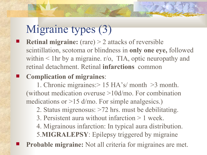### Migraine types (3)

 **Retinal migraine:** (rare) > 2 attacks of reversible scintillation, scotoma or blindness in **only one eye,** followed within < 1hr by a migraine. r/o, TIA, optic neuropathy and retinal detachment. Retinal **infarctions** common

#### **Complication of migraines**:

1. Chronic migraines:> 15 HA's/ month >3 month. (without medication overuse >10d/mo. For combination medications or >15 d/mo. For simple analgesics.)

- 2. Status migrenosus: >72 hrs. must be debilitating.
- 3. Persistent aura without infarction > 1 week.
- 4. Migrainous infarction: In typical aura distribution. 5.**MIGRALEPSY**: Epilepsy triggered by migraine
- **Probable migraine:** Not all criteria for migraines are met.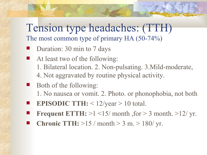#### Tension type headaches: (TTH) The most common type of primary HA (50-74%)

- Duration: 30 min to 7 days
- At least two of the following: 1. Bilateral location. 2. Non-pulsating. 3.Mild-moderate, 4. Not aggravated by routine physical activity.
- Both of the following: 1. No nausea or vomit. 2. Photo. or phonophobia, not both
- **EPISODIC TTH:** < 12/year > 10 total.
- **Frequent ETTH:**  $>1$  <15/ month , for > 3 month.  $>12$ / yr.
- **Chronic TTH:** >15 / month > 3 m. > 180/ yr.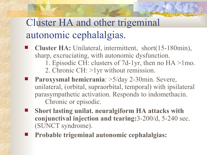#### Cluster HA and other trigeminal autonomic cephalalgias.

- **Cluster HA:** Unilateral, intermittent, short(15-180min), sharp, excruciating, with autonomic dysfunction.
	- 1. Episodic CH: clusters of 7d-1yr, then no HA >1mo.
	- 2. Chronic CH: >1yr without remission.
- **Paroxysmal hemicrania**: >5/day 2-30min. Severe, unilateral, (orbital, supraorbital, temporal) with ipsilateral parasympathetic activation. Responds to indomethacin. Chronic or episodic.
- **Short lasting unilat. neuralgiform HA attacks with conjunctival injection and tearing:**3-200/d, 5-240 sec. (SUNCT syndrome).
	- **Probable trigeminal autonomic cephalalgias:**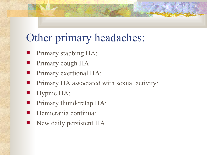#### Other primary headaches:

- Primary stabbing HA:
- Primary cough HA:
- Primary exertional HA:
- Primary HA associated with sexual activity:
- Hypnic HA:
- Primary thunderclap HA:
- Hemicrania continua:
- New daily persistent HA: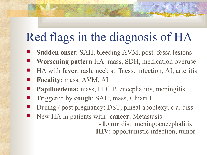# Red flags in the diagnosis of HA

- **Sudden onset**: SAH, bleeding AVM, post. fossa lesions
- **Worsening pattern** HA: mass, SDH, medication overuse
- HA with **fever**, rash, neck stiffness: infection, AI, arteritis
- **Focality:** mass, AVM, AI
- **Papilloedema:** mass, I.I.C.P, encephalitis, meningitis.
- Triggered by **cough**: SAH, mass, Chiari 1
- During / post pregnancy: DST, pineal apoplexy, c.a. diss.
- New HA in patients with- **cancer**: Metastasis

- **Lyme** dis.: meningoencephalitis -**HIV**: opportunistic infection, tumor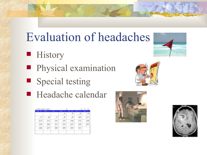# Evaluation of headaches

- **History**
- **Physical examination**
- Special testing
- Headache calendar

| Lis been built of the main |                   |                          | m                        |                       | <b>CONTRACTOR</b><br><b>PER</b> |                                         |
|----------------------------|-------------------|--------------------------|--------------------------|-----------------------|---------------------------------|-----------------------------------------|
| __<br>٠                    | <b>CONTRACTOR</b> |                          | <b>Contract Contract</b> | p.<br><b>Contract</b> | - -                             | --                                      |
|                            |                   |                          | ij                       |                       | ×<br><b>CONTRACTOR</b>          | - 3<br>$\sim$<br><b>TELEVISION</b><br>٠ |
| ž                          | ģ.                | $\mathcal{F}_\mathrm{c}$ | $\sim 3$                 | 9                     | 19                              | J.<br>z<br>-6<br><b>CORP</b>            |
| z<br>m<br>÷                | 13<br>m           | 14                       | 17<br>×                  | ï<br>Đ.<br>m          | 珡                               | g<br>ž<br>E                             |
| Ŷ                          | Pr i<br>.         | 22                       | 51 TS<br>--<br>- 1       | ×<br>23               | --<br>24<br><b>STAR</b>         | m<br>$\frac{2.5}{1.5}$                  |
| 26<br><b>SIL</b>           | 22                | 28<br><b>STAR</b>        | 29                       | 30<br>m<br>m          | 38                              |                                         |









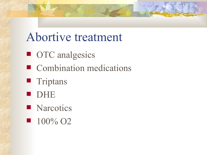### Abortive treatment

- **OTC** analgesics
- Combination medications
- **Triptans**
- **DHE**
- **Narcotics**
- $100\%$  O<sub>2</sub>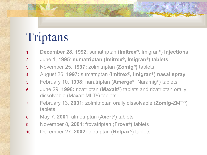# Triptans

- **1. December 28, 1992**: sumatriptan **(Imitrex ® ,** Imigran ®) **injections**
- 2. June 1, **1995**: **sumatriptan (Imitrex ® , Imigran®) tablets**
- 3. November 25, **1997:** zolmitriptan **(Zomig®)** tablets
- 4. August 26, **1997:** sumatriptan (**Imitrex ® , Imigran®) nasal spray**
- 5. February 10, **1998:** naratriptan (**Amerge** ®, Naramig ®) tablets
- 6. June 29, **1998:** rizatriptan **(Maxalt** ®) tablets and rizatriptan orally dissolvable (Maxalt-MLT®) tablets
- 7. February 13, **2001:** zolmitriptan orally dissolvable (**Zomig-**ZMT®) tablets
- 8. May 7, **2001**: almotriptan (**Axert ®)** tablets
- 9. November 8**, 2001**: frovatriptan (**Frova ®)** tablets
- 10. December 27, **2002:** eletriptan **(Relpax** ®) tablets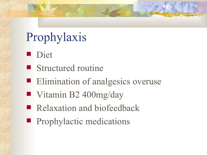# Prophylaxis

- Diet
- Structured routine
- **Elimination of analgesics overuse**
- Vitamin B2 400mg/day
- Relaxation and biofeedback
- **Prophylactic medications**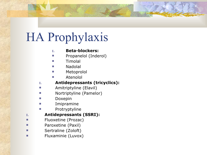# HA Prophylaxis

#### **I. Beta-blockers:**

- **Propanelol (Inderol)**
- Timolal
- Nadolal
- Metoprolol
	- Atenolol

#### **I. Antidepressants (tricyclics):**

- **E** Amitriptyline (Elavil)
- **Nortriptyline (Pamelor)**
- **Doxepin**
- **Imipramine**
- **Protryptyline**

#### **I. Antidepressants (SSRI):**

- **Fluoxetine (Prozac)**
- Paroxetine (Paxil)
- Sertraline (Zoloft)
- **Fluxaminie (Luvox)**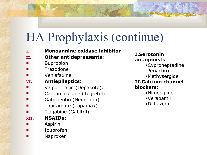# HA Prophylaxis (continue)

- **I. Monoannine oxidase inhibitor**
- **II. Other antidepressants:**
- Bupropion
- Trazodone
- Venlafaxine
- **VI. Antiepileptics:**
- Valporic acid (Depakote):
- Carbamazepine (Tegretol)
- Gabapentin (Neurontin)
- Topiramate (Topamax)
- Tiagabine (Gabitril)

#### **XII. NSAIDs:**

- Aspirin
- Ibuprofen
- Naproxen

#### **I.Serotonin antagonists:**

- •Cyproheptadine
- (Periactin)
- •Methysergide

#### **II.Calcium channel blockers:**

- •Nimodipine
- •Verapamil
- •Diltiazem